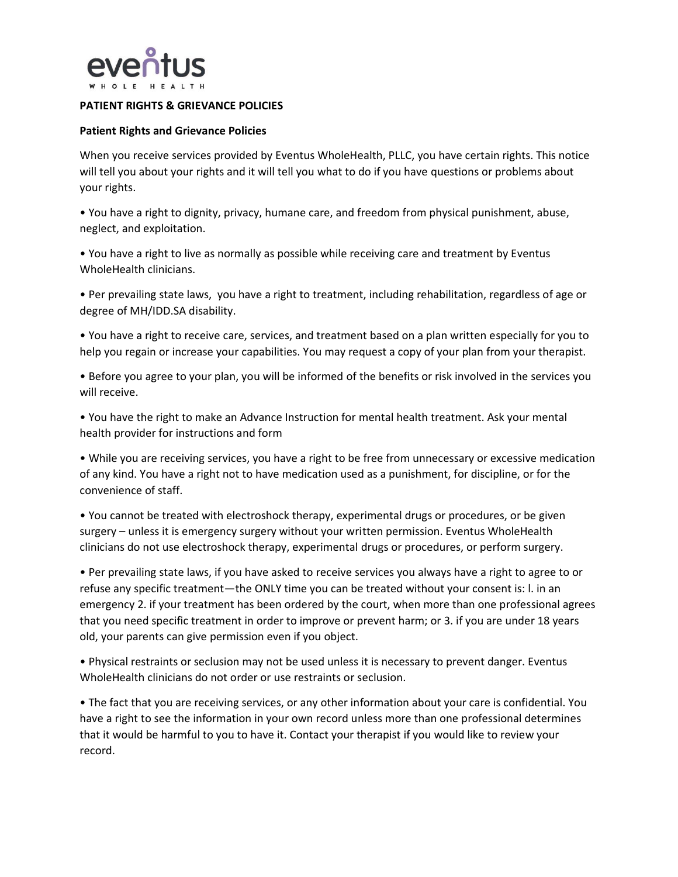

## **PATIENT RIGHTS & GRIEVANCE POLICIES**

## **Patient Rights and Grievance Policies**

When you receive services provided by Eventus WholeHealth, PLLC, you have certain rights. This notice will tell you about your rights and it will tell you what to do if you have questions or problems about your rights.

• You have a right to dignity, privacy, humane care, and freedom from physical punishment, abuse, neglect, and exploitation.

• You have a right to live as normally as possible while receiving care and treatment by Eventus WholeHealth clinicians.

• Per prevailing state laws, you have a right to treatment, including rehabilitation, regardless of age or degree of MH/IDD.SA disability.

• You have a right to receive care, services, and treatment based on a plan written especially for you to help you regain or increase your capabilities. You may request a copy of your plan from your therapist.

• Before you agree to your plan, you will be informed of the benefits or risk involved in the services you will receive.

• You have the right to make an Advance Instruction for mental health treatment. Ask your mental health provider for instructions and form

• While you are receiving services, you have a right to be free from unnecessary or excessive medication of any kind. You have a right not to have medication used as a punishment, for discipline, or for the convenience of staff.

• You cannot be treated with electroshock therapy, experimental drugs or procedures, or be given surgery – unless it is emergency surgery without your written permission. Eventus WholeHealth clinicians do not use electroshock therapy, experimental drugs or procedures, or perform surgery.

• Per prevailing state laws, if you have asked to receive services you always have a right to agree to or refuse any specific treatment—the ONLY time you can be treated without your consent is: l. in an emergency 2. if your treatment has been ordered by the court, when more than one professional agrees that you need specific treatment in order to improve or prevent harm; or 3. if you are under 18 years old, your parents can give permission even if you object.

• Physical restraints or seclusion may not be used unless it is necessary to prevent danger. Eventus WholeHealth clinicians do not order or use restraints or seclusion.

• The fact that you are receiving services, or any other information about your care is confidential. You have a right to see the information in your own record unless more than one professional determines that it would be harmful to you to have it. Contact your therapist if you would like to review your record.